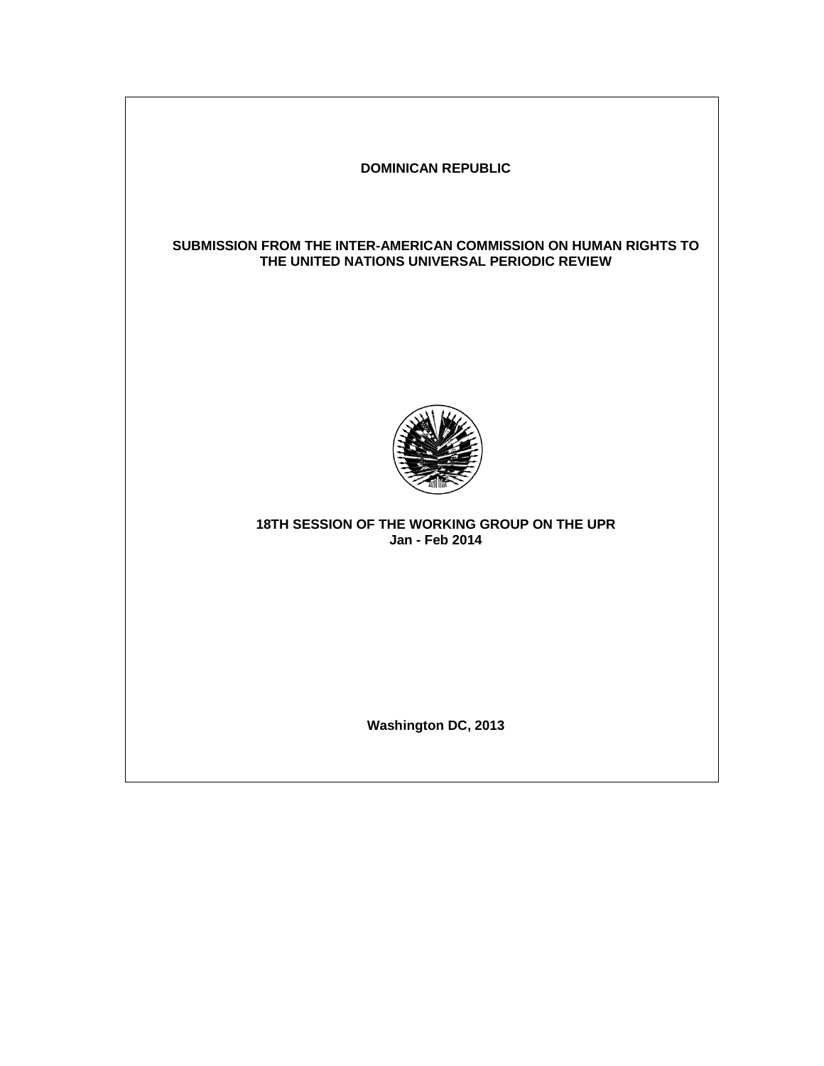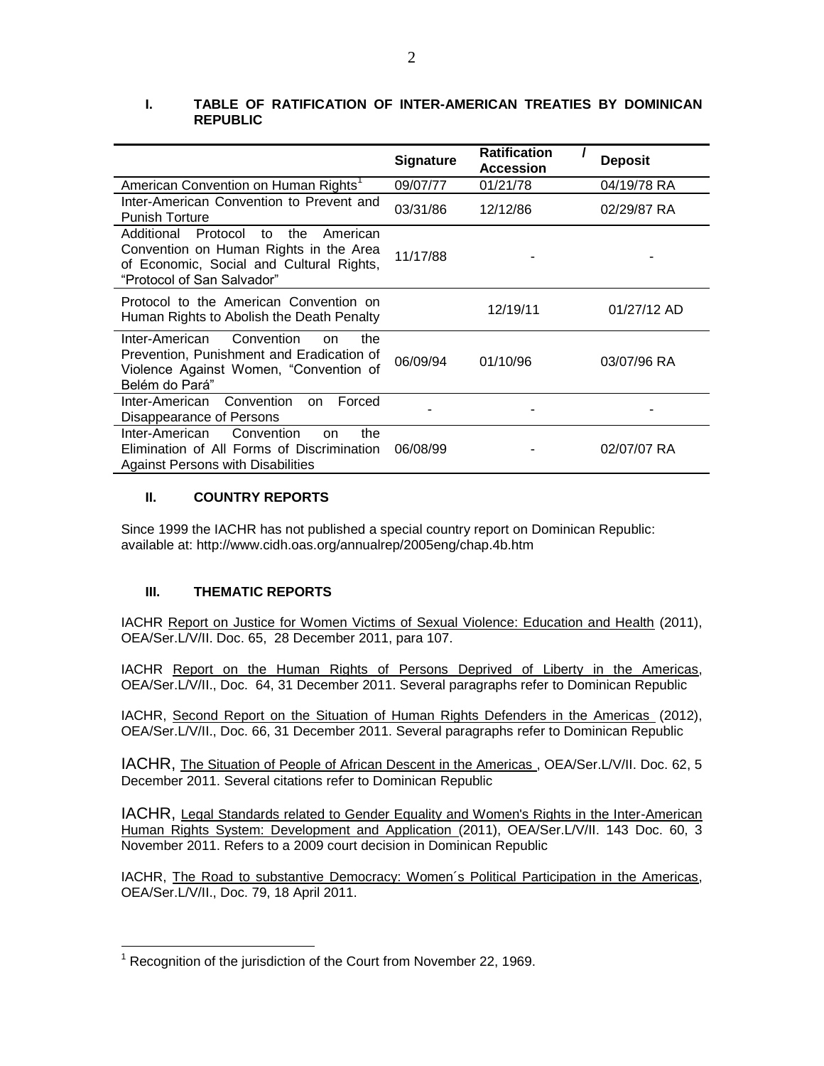|                                                                                                                                                                     | <b>Signature</b> | <b>Ratification</b><br><b>Accession</b> | <b>Deposit</b> |
|---------------------------------------------------------------------------------------------------------------------------------------------------------------------|------------------|-----------------------------------------|----------------|
| American Convention on Human Rights <sup>1</sup>                                                                                                                    | 09/07/77         | 01/21/78                                | 04/19/78 RA    |
| Inter-American Convention to Prevent and<br><b>Punish Torture</b>                                                                                                   | 03/31/86         | 12/12/86                                | 02/29/87 RA    |
| Additional<br>Protocol<br>to<br>the<br>American<br>Convention on Human Rights in the Area<br>of Economic, Social and Cultural Rights,<br>"Protocol of San Salvador" | 11/17/88         |                                         |                |
| Protocol to the American Convention on<br>Human Rights to Abolish the Death Penalty                                                                                 |                  | 12/19/11                                | 01/27/12 AD    |
| Convention<br>Inter-American<br>the<br>on<br>Prevention, Punishment and Eradication of<br>Violence Against Women, "Convention of<br>Belém do Pará"                  | 06/09/94         | 01/10/96                                | 03/07/96 RA    |
| Inter-American<br>Convention<br>Forced<br>on.<br>Disappearance of Persons                                                                                           |                  |                                         |                |
| Convention<br>Inter-American<br>the<br>on<br>Elimination of All Forms of Discrimination<br>Against Persons with Disabilities                                        | 06/08/99         |                                         | 02/07/07 RA    |

# **I. TABLE OF RATIFICATION OF INTER-AMERICAN TREATIES BY DOMINICAN REPUBLIC**

## **II. COUNTRY REPORTS**

Since 1999 the IACHR has not published a special country report on Dominican Republic: available at: http://www.cidh.oas.org/annualrep/2005eng/chap.4b.htm

## **III. THEMATIC REPORTS**

IACHR [Report on Justice for Women Victims of Sexual Violence: Education and Health](http://www.oas.org/en/iachr/women/docs/pdf/SEXUALVIOLENCEEducHealth.pdf) (2011), OEA/Ser.L/V/II. Doc. 65, 28 December 2011, para 107.

IACHR [Report on the Human Rights of Persons Deprived of Liberty in the Americas,](http://www.oas.org/en/iachr/pdl/docs/pdf/PPL2011eng.pdf) OEA/Ser.L/V/II., Doc. 64, 31 December 2011. Several paragraphs refer to Dominican Republic

IACHR, Second [Report on the Situation of Human Rights Defenders in the Americas](http://www.oas.org/en/iachr/defenders/docs/pdf/defenders2011.pdf) (2012), OEA/Ser.L/V/II., Doc. 66, 31 December 2011. Several paragraphs refer to Dominican Republic

IACHR, [The Situation of People of African Descent in the Americas ,](http://www.oas.org/en/iachr/afro-descendants/docs/pdf/AFROS_2011_ENG.pdf) OEA/Ser.L/V/II. Doc. 62, 5 December 2011. Several citations refer to Dominican Republic

IACHR, [Legal Standards related to Gender Equality and Women's Rights in the Inter-American](http://www.oas.org/en/iachr/women/docs/pdf/REGIONALst.pdf)  [Human Rights System: Development and Application \(](http://www.oas.org/en/iachr/women/docs/pdf/REGIONALst.pdf)2011), OEA/Ser.L/V/II. 143 Doc. 60, 3 November 2011. Refers to a 2009 court decision in Dominican Republic

IACHR, [The Road to substantive Democracy: Women´s Political Participation in the Americas,](http://www.oas.org/en/iachr/women/docs/pdf/POLITICALpart.pdf) OEA/Ser.L/V/II., Doc. 79, 18 April 2011.

 $\overline{a}$ <sup>1</sup> Recognition of the jurisdiction of the Court from November 22, 1969.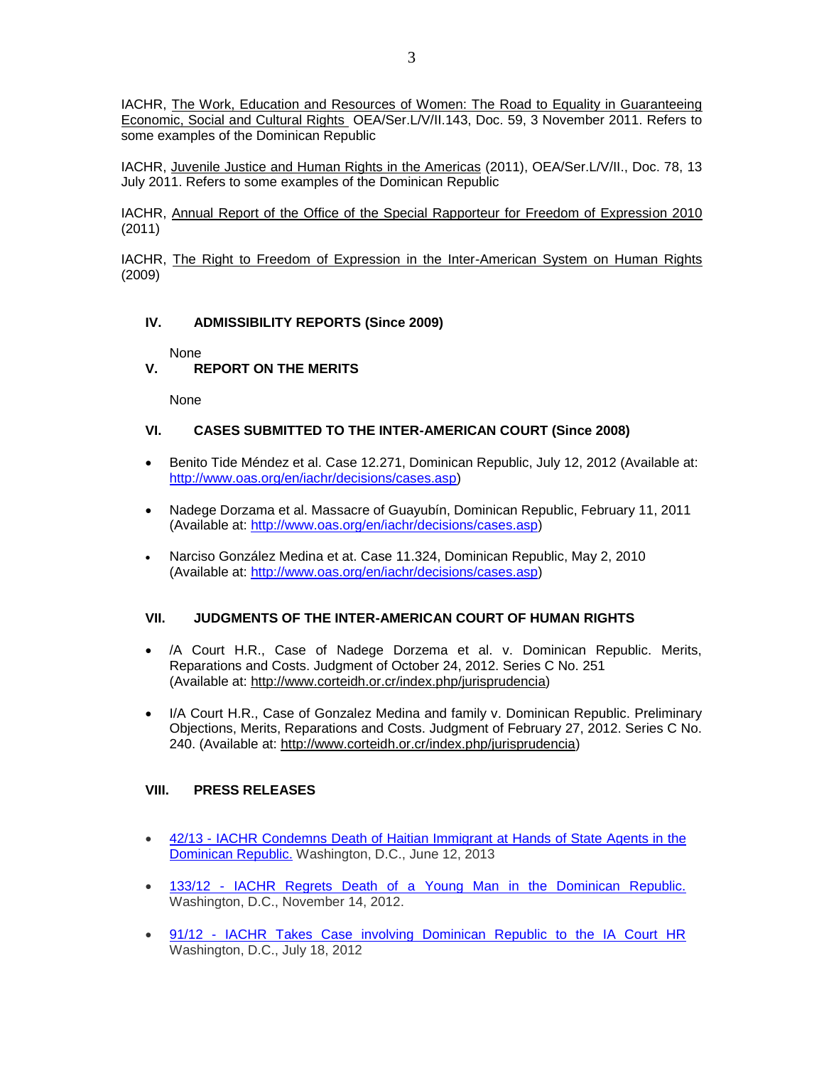IACHR, [The Work, Education and Resources of Women: The Road to Equality in Guaranteeing](http://www.oas.org/en/iachr/women/docs/pdf/WomenDESC2011.pdf)  [Economic, Social and Cultural Rights](http://www.oas.org/en/iachr/women/docs/pdf/WomenDESC2011.pdf) OEA/Ser.L/V/II.143, Doc. 59, 3 November 2011. Refers to some examples of the Dominican Republic

IACHR, [Juvenile Justice and Human Rights in the Americas](http://www.oas.org/en/iachr/children/docs/pdf/JuvenileJustice.pdf) (2011), OEA/Ser.L/V/II., Doc. 78, 13 July 2011. Refers to some examples of the Dominican Republic

IACHR, [Annual Report of the Office of the Special Rapporteur for Freedom of Expression 2010](http://www.oas.org/es/cidh/expresion/docs/cd/informe_anual2010/OAS_AR2010_Interactive.pdf) (2011)

IACHR, [The Right to Freedom of Expression in the Inter-American System on Human Rights](http://www.oas.org/es/cidh/expresion/docs/cd/sistema_interamericano_de_derechos_humanos/index.html) (2009)

### **IV. ADMISSIBILITY REPORTS (Since 2009)**

None

## **V. REPORT ON THE MERITS**

None

#### **VI. CASES SUBMITTED TO THE INTER-AMERICAN COURT (Since 2008)**

- **Benito Tide Méndez et al. Case 12.271, Dominican Republic, July 12, 2012 (Available at:** [http://www.oas.org/en/iachr/decisions/cases.asp\)](http://www.oas.org/en/iachr/decisions/cases.asp)
- Nadege Dorzama et al. Massacre of Guayubín, Dominican Republic, February 11, 2011 (Available at: [http://www.oas.org/en/iachr/decisions/cases.asp\)](http://www.oas.org/en/iachr/decisions/cases.asp)
- Narciso González Medina et at. Case 11.324, Dominican Republic, May 2, 2010 (Available at: [http://www.oas.org/en/iachr/decisions/cases.asp\)](http://www.oas.org/en/iachr/decisions/cases.asp)

#### **VII. JUDGMENTS OF THE INTER-AMERICAN COURT OF HUMAN RIGHTS**

- /A Court H.R., Case of Nadege Dorzema et al. v. Dominican Republic. Merits, Reparations and Costs. Judgment of October 24, 2012. Series C No. 251 (Available at: [http://www.corteidh.or.cr/index.php/jurisprudencia\)](http://www.corteidh.or.cr/index.php/jurisprudencia)
- I/A Court H.R., Case of Gonzalez Medina and family v. Dominican Republic. Preliminary Objections, Merits, Reparations and Costs. Judgment of February 27, 2012. Series C No. 240. (Available at: [http://www.corteidh.or.cr/index.php/jurisprudencia\)](http://www.corteidh.or.cr/index.php/jurisprudencia)

#### **VIII. PRESS RELEASES**

- 42/13 [IACHR Condemns Death of Haitian Immigrant at Hands of State](http://www.oas.org/en/iachr/media_center/PReleases/2013/042.asp) Agents in the [Dominican Republic.](http://www.oas.org/en/iachr/media_center/PReleases/2013/042.asp) Washington, D.C., June 12, 2013
- 133/12 IACHR Regrets Death of a Young Man in the Dominican Republic. Washington, D.C., November 14, 2012.
- 91/12 [IACHR Takes Case involving Dominican Republic to the IA Court HR](http://www.oas.org/en/iachr/media_center/PReleases/2012/091.asp) Washington, D.C., July 18, 2012